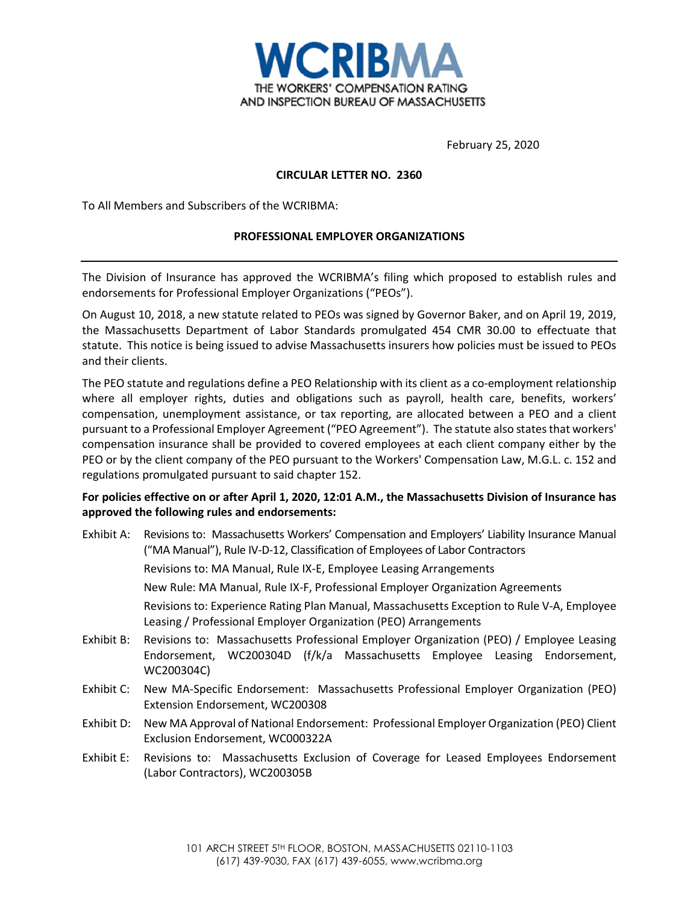

February 25, 2020

# **CIRCULAR LETTER NO. 2360**

To All Members and Subscribers of the WCRIBMA:

# **PROFESSIONAL EMPLOYER ORGANIZATIONS**

The Division of Insurance has approved the WCRIBMA's filing which proposed to establish rules and endorsements for Professional Employer Organizations ("PEOs").

On August 10, 2018, a new statute related to PEOs was signed by Governor Baker, and on April 19, 2019, the Massachusetts Department of Labor Standards promulgated 454 CMR 30.00 to effectuate that statute. This notice is being issued to advise Massachusetts insurers how policies must be issued to PEOs and their clients.

The PEO statute and regulations define a PEO Relationship with its client as a co-employment relationship where all employer rights, duties and obligations such as payroll, health care, benefits, workers' compensation, unemployment assistance, or tax reporting, are allocated between a PEO and a client pursuant to a Professional Employer Agreement ("PEO Agreement"). The statute also states that workers' compensation insurance shall be provided to covered employees at each client company either by the PEO or by the client company of the PEO pursuant to the Workers' Compensation Law, M.G.L. c. 152 and regulations promulgated pursuant to said chapter 152.

# **For policies effective on or after April 1, 2020, 12:01 A.M., the Massachusetts Division of Insurance has approved the following rules and endorsements:**

- Exhibit A: Revisions to: Massachusetts Workers' Compensation and Employers' Liability Insurance Manual ("MA Manual"), Rule IV-D-12, Classification of Employees of Labor Contractors Revisions to: MA Manual, Rule IX-E, Employee Leasing Arrangements New Rule: MA Manual, Rule IX-F, Professional Employer Organization Agreements Revisions to: Experience Rating Plan Manual, Massachusetts Exception to Rule V-A, Employee Leasing / Professional Employer Organization (PEO) Arrangements
- Exhibit B: Revisions to: Massachusetts Professional Employer Organization (PEO) / Employee Leasing Endorsement, WC200304D (f/k/a Massachusetts Employee Leasing Endorsement, WC200304C)
- Exhibit C: New MA-Specific Endorsement: Massachusetts Professional Employer Organization (PEO) Extension Endorsement, WC200308
- Exhibit D: New MA Approval of National Endorsement: Professional Employer Organization (PEO) Client Exclusion Endorsement, WC000322A
- Exhibit E: Revisions to: Massachusetts Exclusion of Coverage for Leased Employees Endorsement (Labor Contractors), WC200305B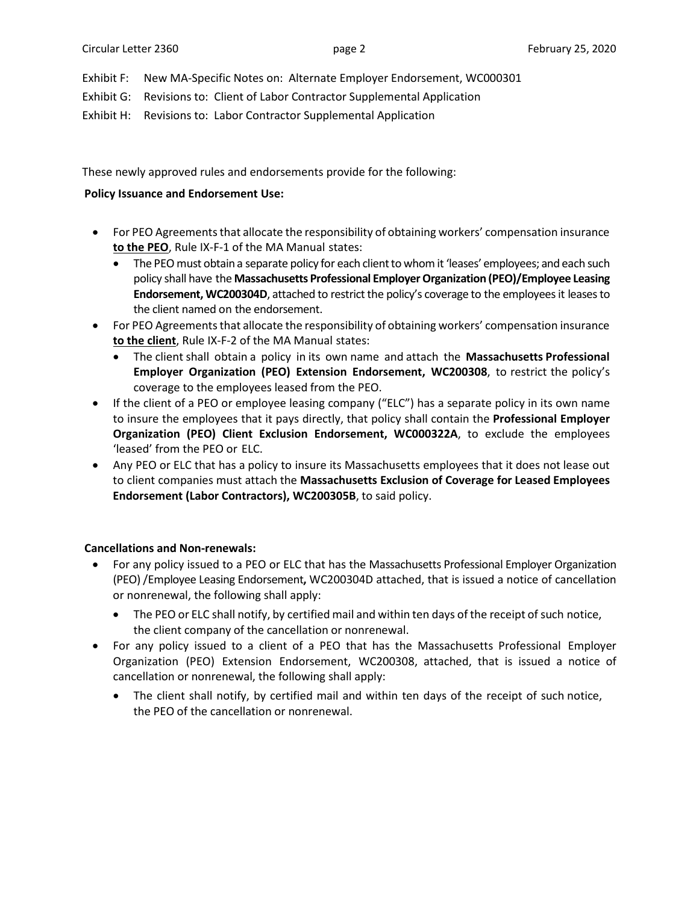Exhibit F: New MA-Specific Notes on: Alternate Employer Endorsement, WC000301

Exhibit G: Revisions to: Client of Labor Contractor Supplemental Application

Exhibit H: Revisions to: Labor Contractor Supplemental Application

These newly approved rules and endorsements provide for the following:

# **Policy Issuance and Endorsement Use:**

- For PEO Agreements that allocate the responsibility of obtaining workers' compensation insurance **to the PEO**, Rule IX-F-1 of the MA Manual states:
	- The PEO must obtain a separate policy for each client to whom it 'leases' employees; and each such policy shall have the **Massachusetts Professional Employer Organization (PEO)/Employee Leasing Endorsement, WC200304D**, attached to restrict the policy's coverage to the employees it leases to the client named on the endorsement.
- For PEO Agreements that allocate the responsibility of obtaining workers' compensation insurance **to the client**, Rule IX-F-2 of the MA Manual states:
	- The client shall obtain a policy in its own name and attach the **Massachusetts Professional Employer Organization (PEO) Extension Endorsement, WC200308**, to restrict the policy's coverage to the employees leased from the PEO.
- If the client of a PEO or employee leasing company ("ELC") has a separate policy in its own name to insure the employees that it pays directly, that policy shall contain the **Professional Employer Organization (PEO) Client Exclusion Endorsement, WC000322A**, to exclude the employees 'leased' from the PEO or ELC.
- Any PEO or ELC that has a policy to insure its Massachusetts employees that it does not lease out to client companies must attach the **Massachusetts Exclusion of Coverage for Leased Employees Endorsement (Labor Contractors), WC200305B**, to said policy.

# **Cancellations and Non-renewals:**

- For any policy issued to a PEO or ELC that has the Massachusetts Professional Employer Organization (PEO) /Employee Leasing Endorsement**,** WC200304D attached, that is issued a notice of cancellation or nonrenewal, the following shall apply:
	- The PEO or ELC shall notify, by certified mail and within ten days of the receipt of such notice, the client company of the cancellation or nonrenewal.
- For any policy issued to a client of a PEO that has the Massachusetts Professional Employer Organization (PEO) Extension Endorsement, WC200308, attached, that is issued a notice of cancellation or nonrenewal, the following shall apply:
	- The client shall notify, by certified mail and within ten days of the receipt of such notice, the PEO of the cancellation or nonrenewal.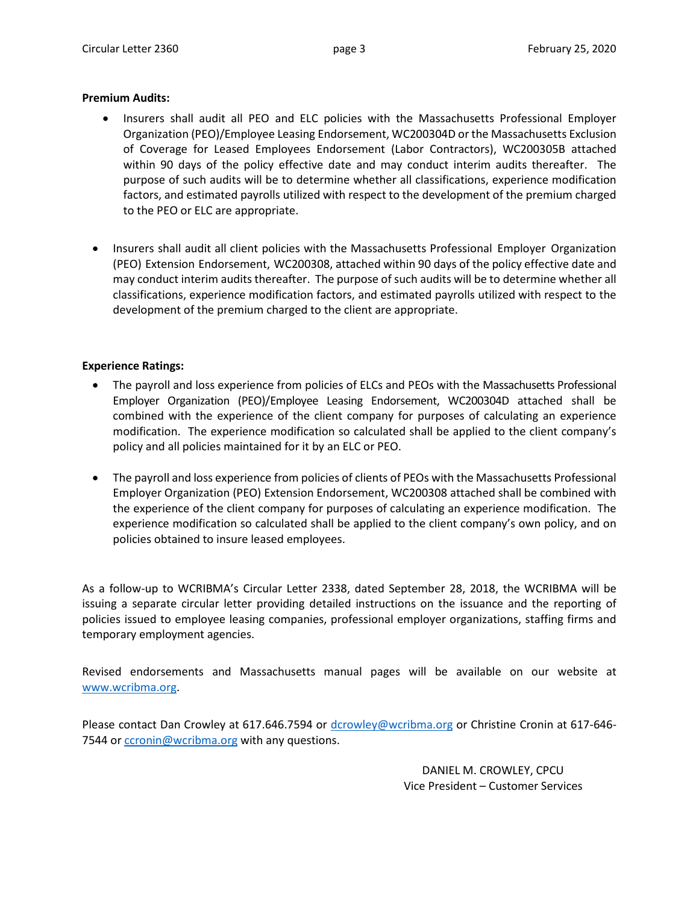## **Premium Audits:**

- Insurers shall audit all PEO and ELC policies with the Massachusetts Professional Employer Organization (PEO)/Employee Leasing Endorsement, WC200304D or the Massachusetts Exclusion of Coverage for Leased Employees Endorsement (Labor Contractors), WC200305B attached within 90 days of the policy effective date and may conduct interim audits thereafter. The purpose of such audits will be to determine whether all classifications, experience modification factors, and estimated payrolls utilized with respect to the development of the premium charged to the PEO or ELC are appropriate.
- Insurers shall audit all client policies with the Massachusetts Professional Employer Organization (PEO) Extension Endorsement, WC200308, attached within 90 days of the policy effective date and may conduct interim audits thereafter. The purpose of such audits will be to determine whether all classifications, experience modification factors, and estimated payrolls utilized with respect to the development of the premium charged to the client are appropriate.

# **Experience Ratings:**

- The payroll and loss experience from policies of ELCs and PEOs with the Massachusetts Professional Employer Organization (PEO)/Employee Leasing Endorsement, WC200304D attached shall be combined with the experience of the client company for purposes of calculating an experience modification. The experience modification so calculated shall be applied to the client company's policy and all policies maintained for it by an ELC or PEO.
- The payroll and loss experience from policies of clients of PEOs with the Massachusetts Professional Employer Organization (PEO) Extension Endorsement, WC200308 attached shall be combined with the experience of the client company for purposes of calculating an experience modification. The experience modification so calculated shall be applied to the client company's own policy, and on policies obtained to insure leased employees.

As a follow-up to WCRIBMA's Circular Letter 2338, dated September 28, 2018, the WCRIBMA will be issuing a separate circular letter providing detailed instructions on the issuance and the reporting of policies issued to employee leasing companies, professional employer organizations, staffing firms and temporary employment agencies.

Revised endorsements and Massachusetts manual pages will be available on our website at [www.wcribma.org.](http://www.wcribma.org/)

Please contact Dan Crowley at 617.646.7594 or [dcrowley@wcribma.org](mailto:dcrowley@wcribma.org) or Christine Cronin at 617-646 7544 or [ccronin@wcribma.org](mailto:ccronin@wcribma.org) with any questions.

> DANIEL M. CROWLEY, CPCU Vice President – Customer Services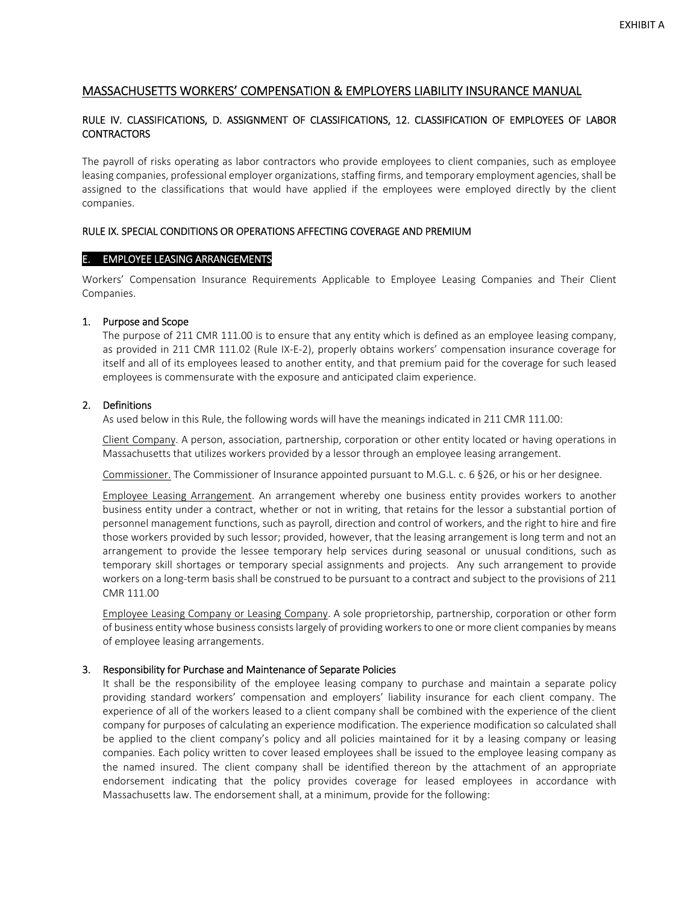# MASSACHUSETTS WORKERS' COMPENSATION & EMPLOYERS LIABILITY INSURANCE MANUAL

# RULE IV. CLASSIFICATIONS, D. ASSIGNMENT OF CLASSIFICATIONS, 12. CLASSIFICATION OF EMPLOYEES OF LABOR CONTRACTORS

The payroll of risks operating as labor contractors who provide employees to client companies, such as employee leasing companies, professional employer organizations, staffing firms, and temporary employment agencies, shall be assigned to the classifications that would have applied if the employees were employed directly by the client companies.

#### RULE IX. SPECIAL CONDITIONS OR OPERATIONS AFFECTING COVERAGE AND PREMIUM

#### E. EMPLOYEE LEASING ARRANGEMENTS

Workers' Compensation Insurance Requirements Applicable to Employee Leasing Companies and Their Client Companies.

## 1. Purpose and Scope

The purpose of 211 CMR 111.00 is to ensure that any entity which is defined as an employee leasing company, as provided in 211 CMR 111.02 (Rule IX‐E‐2), properly obtains workers' compensation insurance coverage for itself and all of its employees leased to another entity, and that premium paid for the coverage for such leased employees is commensurate with the exposure and anticipated claim experience.

## 2. Definitions

As used below in this Rule, the following words will have the meanings indicated in 211 CMR 111.00:

Client Company. A person, association, partnership, corporation or other entity located or having operations in Massachusetts that utilizes workers provided by a lessor through an employee leasing arrangement.

Commissioner. The Commissioner of Insurance appointed pursuant to M.G.L. c. 6 §26, or his or her designee.

Employee Leasing Arrangement. An arrangement whereby one business entity provides workers to another business entity under a contract, whether or not in writing, that retains for the lessor a substantial portion of personnel management functions, such as payroll, direction and control of workers, and the right to hire and fire those workers provided by such lessor; provided, however, that the leasing arrangement is long term and not an arrangement to provide the lessee temporary help services during seasonal or unusual conditions, such as temporary skill shortages or temporary special assignments and projects. Any such arrangement to provide workers on a long-term basis shall be construed to be pursuant to a contract and subject to the provisions of 211 CMR 111.00

Employee Leasing Company or Leasing Company. A sole proprietorship, partnership, corporation or other form of business entity whose business consistslargely of providing workersto one or more client companies by means of employee leasing arrangements.

#### 3. Responsibility for Purchase and Maintenance of Separate Policies

It shall be the responsibility of the employee leasing company to purchase and maintain a separate policy providing standard workers' compensation and employers' liability insurance for each client company. The experience of all of the workers leased to a client company shall be combined with the experience of the client company for purposes of calculating an experience modification. The experience modification so calculated shall be applied to the client company's policy and all policies maintained for it by a leasing company or leasing companies. Each policy written to cover leased employees shall be issued to the employee leasing company as the named insured. The client company shall be identified thereon by the attachment of an appropriate endorsement indicating that the policy provides coverage for leased employees in accordance with Massachusetts law. The endorsement shall, at a minimum, provide for the following: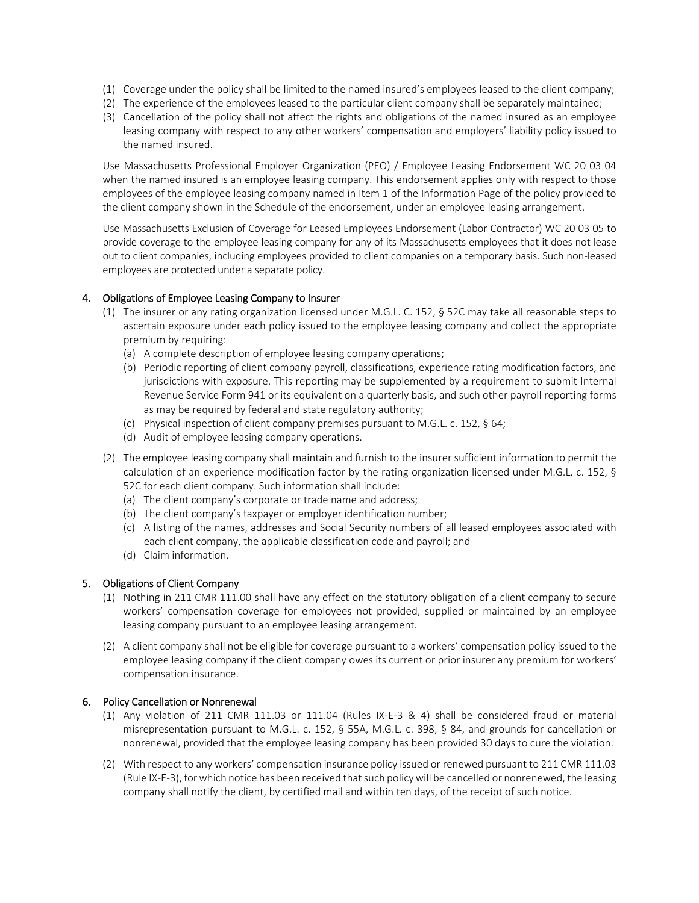- (1) Coverage under the policy shall be limited to the named insured's employees leased to the client company;
- (2) The experience of the employees leased to the particular client company shall be separately maintained;
- (3) Cancellation of the policy shall not affect the rights and obligations of the named insured as an employee leasing company with respect to any other workers' compensation and employers' liability policy issued to the named insured.

Use Massachusetts Professional Employer Organization (PEO) / Employee Leasing Endorsement WC 20 03 04 when the named insured is an employee leasing company. This endorsement applies only with respect to those employees of the employee leasing company named in Item 1 of the Information Page of the policy provided to the client company shown in the Schedule of the endorsement, under an employee leasing arrangement.

Use Massachusetts Exclusion of Coverage for Leased Employees Endorsement (Labor Contractor) WC 20 03 05 to provide coverage to the employee leasing company for any of its Massachusetts employees that it does not lease out to client companies, including employees provided to client companies on a temporary basis. Such non‐leased employees are protected under a separate policy.

# 4. Obligations of Employee Leasing Company to Insurer

- (1) The insurer or any rating organization licensed under M.G.L. C. 152, § 52C may take all reasonable steps to ascertain exposure under each policy issued to the employee leasing company and collect the appropriate premium by requiring:
	- (a) A complete description of employee leasing company operations;
	- (b) Periodic reporting of client company payroll, classifications, experience rating modification factors, and jurisdictions with exposure. This reporting may be supplemented by a requirement to submit Internal Revenue Service Form 941 or its equivalent on a quarterly basis, and such other payroll reporting forms as may be required by federal and state regulatory authority;
	- (c) Physical inspection of client company premises pursuant to M.G.L. c. 152, § 64;
	- (d) Audit of employee leasing company operations.
- (2) The employee leasing company shall maintain and furnish to the insurer sufficient information to permit the calculation of an experience modification factor by the rating organization licensed under M.G.L. c. 152, § 52C for each client company. Such information shall include:
	- (a) The client company's corporate or trade name and address;
	- (b) The client company's taxpayer or employer identification number;
	- (c) A listing of the names, addresses and Social Security numbers of all leased employees associated with each client company, the applicable classification code and payroll; and
	- (d) Claim information.

# 5. Obligations of Client Company

- (1) Nothing in 211 CMR 111.00 shall have any effect on the statutory obligation of a client company to secure workers' compensation coverage for employees not provided, supplied or maintained by an employee leasing company pursuant to an employee leasing arrangement.
- (2) A client company shall not be eligible for coverage pursuant to a workers' compensation policy issued to the employee leasing company if the client company owes its current or prior insurer any premium for workers' compensation insurance.

## 6. Policy Cancellation or Nonrenewal

- (1) Any violation of 211 CMR 111.03 or 111.04 (Rules IX‐E‐3 & 4) shall be considered fraud or material misrepresentation pursuant to M.G.L. c. 152, § 55A, M.G.L. c. 398, § 84, and grounds for cancellation or nonrenewal, provided that the employee leasing company has been provided 30 days to cure the violation.
- (2) With respect to any workers' compensation insurance policy issued or renewed pursuant to 211 CMR 111.03 (Rule IX-E-3), for which notice has been received that such policy will be cancelled or nonrenewed, the leasing company shall notify the client, by certified mail and within ten days, of the receipt of such notice.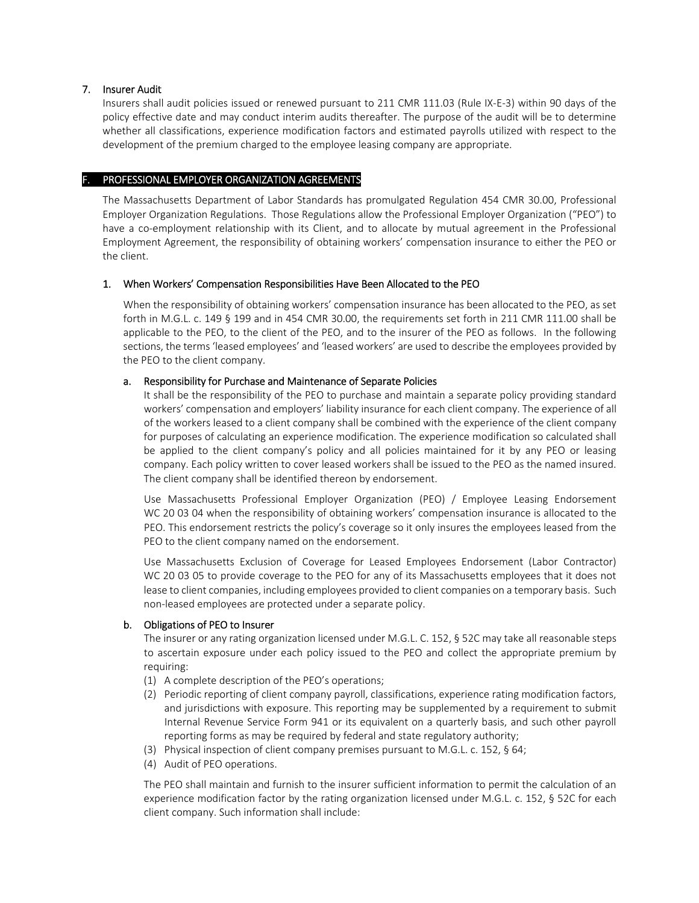## 7. Insurer Audit

Insurers shall audit policies issued or renewed pursuant to 211 CMR 111.03 (Rule IX‐E‐3) within 90 days of the policy effective date and may conduct interim audits thereafter. The purpose of the audit will be to determine whether all classifications, experience modification factors and estimated payrolls utilized with respect to the development of the premium charged to the employee leasing company are appropriate.

## F. PROFESSIONAL EMPLOYER ORGANIZATION AGREEMENTS

The Massachusetts Department of Labor Standards has promulgated Regulation 454 CMR 30.00, Professional Employer Organization Regulations. Those Regulations allow the Professional Employer Organization ("PEO") to have a co-employment relationship with its Client, and to allocate by mutual agreement in the Professional Employment Agreement, the responsibility of obtaining workers' compensation insurance to either the PEO or the client.

## 1. When Workers' Compensation Responsibilities Have Been Allocated to the PEO

When the responsibility of obtaining workers' compensation insurance has been allocated to the PEO, as set forth in M.G.L. c. 149 § 199 and in 454 CMR 30.00, the requirements set forth in 211 CMR 111.00 shall be applicable to the PEO, to the client of the PEO, and to the insurer of the PEO as follows. In the following sections, the terms 'leased employees' and 'leased workers' are used to describe the employees provided by the PEO to the client company.

## a. Responsibility for Purchase and Maintenance of Separate Policies

It shall be the responsibility of the PEO to purchase and maintain a separate policy providing standard workers' compensation and employers' liability insurance for each client company. The experience of all of the workers leased to a client company shall be combined with the experience of the client company for purposes of calculating an experience modification. The experience modification so calculated shall be applied to the client company's policy and all policies maintained for it by any PEO or leasing company. Each policy written to cover leased workers shall be issued to the PEO as the named insured. The client company shall be identified thereon by endorsement.

Use Massachusetts Professional Employer Organization (PEO) / Employee Leasing Endorsement WC 20 03 04 when the responsibility of obtaining workers' compensation insurance is allocated to the PEO. This endorsement restricts the policy's coverage so it only insures the employees leased from the PEO to the client company named on the endorsement.

Use Massachusetts Exclusion of Coverage for Leased Employees Endorsement (Labor Contractor) WC 20 03 05 to provide coverage to the PEO for any of its Massachusetts employees that it does not lease to client companies, including employees provided to client companies on a temporary basis. Such non‐leased employees are protected under a separate policy.

## b. Obligations of PEO to Insurer

The insurer or any rating organization licensed under M.G.L. C. 152, § 52C may take all reasonable steps to ascertain exposure under each policy issued to the PEO and collect the appropriate premium by requiring:

- (1) A complete description of the PEO's operations;
- (2) Periodic reporting of client company payroll, classifications, experience rating modification factors, and jurisdictions with exposure. This reporting may be supplemented by a requirement to submit Internal Revenue Service Form 941 or its equivalent on a quarterly basis, and such other payroll reporting forms as may be required by federal and state regulatory authority;
- (3) Physical inspection of client company premises pursuant to M.G.L. c. 152, § 64;
- (4) Audit of PEO operations.

The PEO shall maintain and furnish to the insurer sufficient information to permit the calculation of an experience modification factor by the rating organization licensed under M.G.L. c. 152, § 52C for each client company. Such information shall include: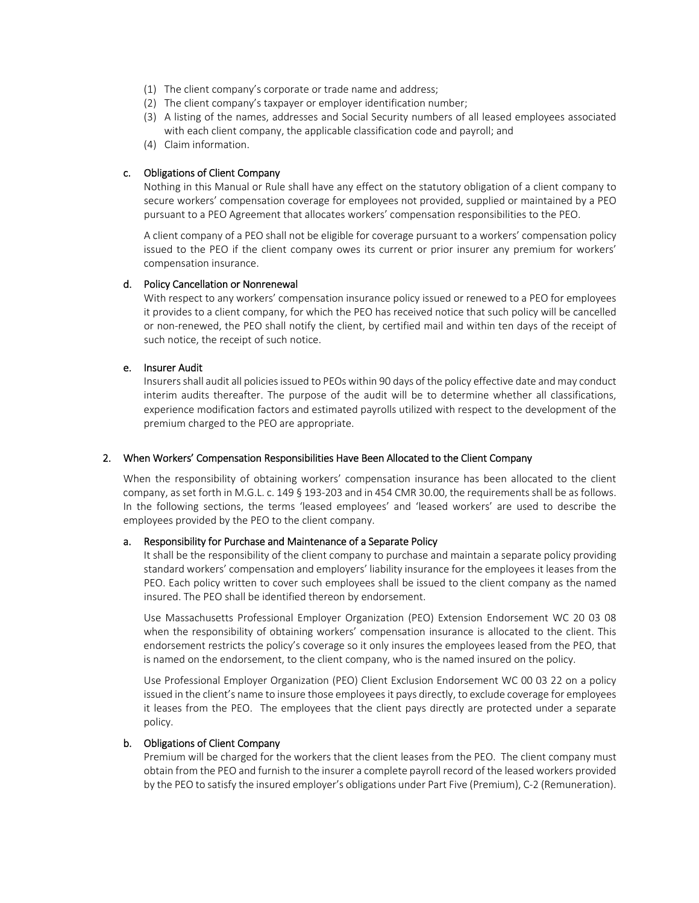- (1) The client company's corporate or trade name and address;
- (2) The client company's taxpayer or employer identification number;
- (3) A listing of the names, addresses and Social Security numbers of all leased employees associated with each client company, the applicable classification code and payroll; and
- (4) Claim information.

#### c. Obligations of Client Company

Nothing in this Manual or Rule shall have any effect on the statutory obligation of a client company to secure workers' compensation coverage for employees not provided, supplied or maintained by a PEO pursuant to a PEO Agreement that allocates workers' compensation responsibilities to the PEO.

A client company of a PEO shall not be eligible for coverage pursuant to a workers' compensation policy issued to the PEO if the client company owes its current or prior insurer any premium for workers' compensation insurance.

#### d. Policy Cancellation or Nonrenewal

With respect to any workers' compensation insurance policy issued or renewed to a PEO for employees it provides to a client company, for which the PEO has received notice that such policy will be cancelled or non‐renewed, the PEO shall notify the client, by certified mail and within ten days of the receipt of such notice, the receipt of such notice.

#### e. Insurer Audit

Insurers shall audit all policies issued to PEOs within 90 days of the policy effective date and may conduct interim audits thereafter. The purpose of the audit will be to determine whether all classifications, experience modification factors and estimated payrolls utilized with respect to the development of the premium charged to the PEO are appropriate.

#### 2. When Workers' Compensation Responsibilities Have Been Allocated to the Client Company

When the responsibility of obtaining workers' compensation insurance has been allocated to the client company, as set forth in M.G.L. c. 149 § 193-203 and in 454 CMR 30.00, the requirements shall be as follows. In the following sections, the terms 'leased employees' and 'leased workers' are used to describe the employees provided by the PEO to the client company.

#### a. Responsibility for Purchase and Maintenance of a Separate Policy

It shall be the responsibility of the client company to purchase and maintain a separate policy providing standard workers' compensation and employers' liability insurance for the employees it leases from the PEO. Each policy written to cover such employees shall be issued to the client company as the named insured. The PEO shall be identified thereon by endorsement.

Use Massachusetts Professional Employer Organization (PEO) Extension Endorsement WC 20 03 08 when the responsibility of obtaining workers' compensation insurance is allocated to the client. This endorsement restricts the policy's coverage so it only insures the employees leased from the PEO, that is named on the endorsement, to the client company, who is the named insured on the policy.

Use Professional Employer Organization (PEO) Client Exclusion Endorsement WC 00 03 22 on a policy issued in the client's name to insure those employeesit pays directly, to exclude coverage for employees it leases from the PEO. The employees that the client pays directly are protected under a separate policy.

#### b. Obligations of Client Company

Premium will be charged for the workers that the client leases from the PEO. The client company must obtain from the PEO and furnish to the insurer a complete payroll record of the leased workers provided by the PEO to satisfy the insured employer's obligations under Part Five (Premium), C‐2 (Remuneration).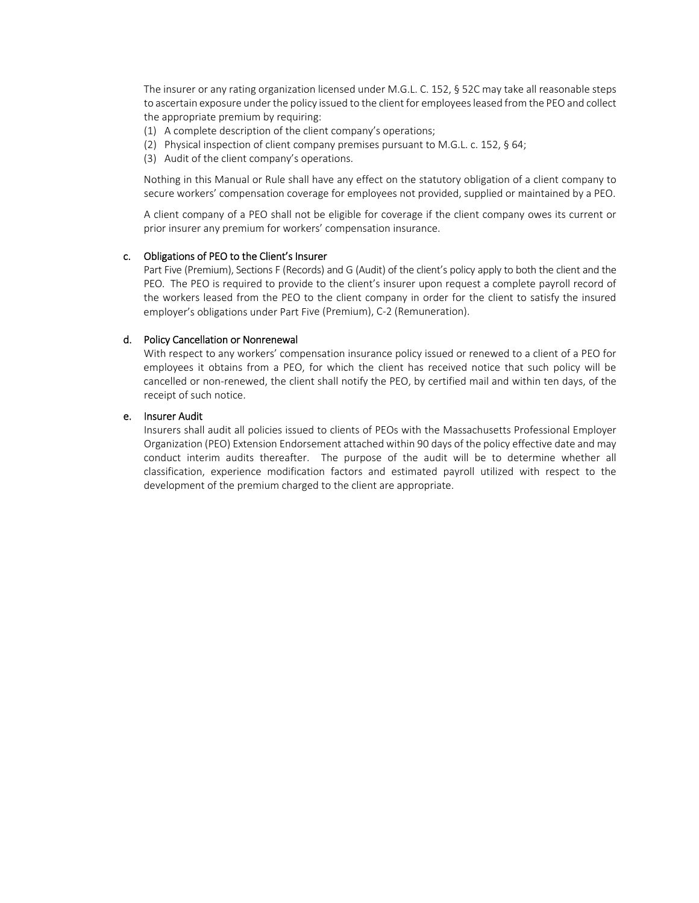The insurer or any rating organization licensed under M.G.L. C. 152, § 52C may take all reasonable steps to ascertain exposure under the policy issued to the client for employeesleased from the PEO and collect the appropriate premium by requiring:

- (1) A complete description of the client company's operations;
- (2) Physical inspection of client company premises pursuant to M.G.L. c. 152, § 64;
- (3) Audit of the client company's operations.

Nothing in this Manual or Rule shall have any effect on the statutory obligation of a client company to secure workers' compensation coverage for employees not provided, supplied or maintained by a PEO.

A client company of a PEO shall not be eligible for coverage if the client company owes its current or prior insurer any premium for workers' compensation insurance.

## c. Obligations of PEO to the Client's Insurer

Part Five (Premium), Sections F (Records) and G (Audit) of the client's policy apply to both the client and the PEO. The PEO is required to provide to the client's insurer upon request a complete payroll record of the workers leased from the PEO to the client company in order for the client to satisfy the insured employer's obligations under Part Five (Premium), C‐2 (Remuneration).

## d. Policy Cancellation or Nonrenewal

With respect to any workers' compensation insurance policy issued or renewed to a client of a PEO for employees it obtains from a PEO, for which the client has received notice that such policy will be cancelled or non-renewed, the client shall notify the PEO, by certified mail and within ten days, of the receipt of such notice.

## e. Insurer Audit

Insurers shall audit all policies issued to clients of PEOs with the Massachusetts Professional Employer Organization (PEO) Extension Endorsement attached within 90 days of the policy effective date and may conduct interim audits thereafter. The purpose of the audit will be to determine whether all classification, experience modification factors and estimated payroll utilized with respect to the development of the premium charged to the client are appropriate.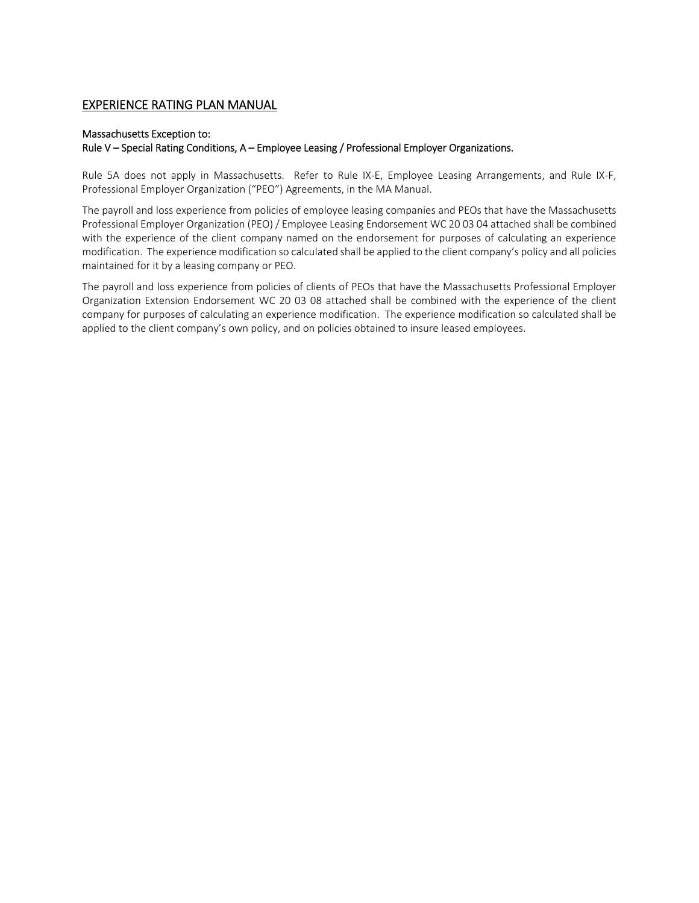# EXPERIENCE RATING PLAN MANUAL

## Massachusetts Exception to:

## Rule V – Special Rating Conditions, A – Employee Leasing / Professional Employer Organizations.

Rule 5A does not apply in Massachusetts. Refer to Rule IX‐E, Employee Leasing Arrangements, and Rule IX‐F, Professional Employer Organization ("PEO") Agreements, in the MA Manual.

The payroll and loss experience from policies of employee leasing companies and PEOs that have the Massachusetts Professional Employer Organization (PEO) / Employee Leasing Endorsement WC 20 03 04 attached shall be combined with the experience of the client company named on the endorsement for purposes of calculating an experience modification. The experience modification so calculated shall be applied to the client company's policy and all policies maintained for it by a leasing company or PEO.

The payroll and loss experience from policies of clients of PEOs that have the Massachusetts Professional Employer Organization Extension Endorsement WC 20 03 08 attached shall be combined with the experience of the client company for purposes of calculating an experience modification. The experience modification so calculated shall be applied to the client company's own policy, and on policies obtained to insure leased employees.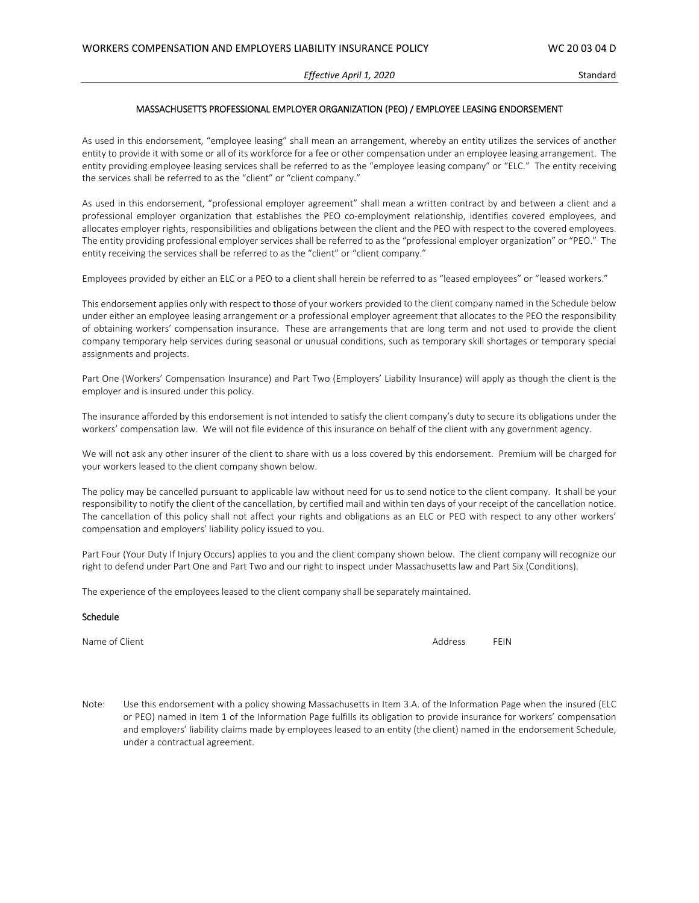#### *Effective April 1, 2020* Standard

#### MASSACHUSETTS PROFESSIONAL EMPLOYER ORGANIZATION (PEO) / EMPLOYEE LEASING ENDORSEMENT

As used in this endorsement, "employee leasing" shall mean an arrangement, whereby an entity utilizes the services of another entity to provide it with some or all of its workforce for a fee or other compensation under an employee leasing arrangement. The entity providing employee leasing services shall be referred to as the "employee leasing company" or "ELC." The entity receiving the services shall be referred to as the "client" or "client company."

As used in this endorsement, "professional employer agreement" shall mean a written contract by and between a client and a professional employer organization that establishes the PEO co-employment relationship, identifies covered employees, and allocates employer rights, responsibilities and obligations between the client and the PEO with respect to the covered employees. The entity providing professional employer services shall be referred to as the "professional employer organization" or "PEO." The entity receiving the services shall be referred to as the "client" or "client company."

Employees provided by either an ELC or a PEO to a client shall herein be referred to as "leased employees" or "leased workers."

This endorsement applies only with respect to those of your workers provided to the client company named in the Schedule below under either an employee leasing arrangement or a professional employer agreement that allocates to the PEO the responsibility of obtaining workers' compensation insurance. These are arrangements that are long term and not used to provide the client company temporary help services during seasonal or unusual conditions, such as temporary skill shortages or temporary special assignments and projects.

Part One (Workers' Compensation Insurance) and Part Two (Employers' Liability Insurance) will apply as though the client is the employer and is insured under this policy.

The insurance afforded by this endorsement is not intended to satisfy the client company's duty to secure its obligations under the workers' compensation law. We will not file evidence of this insurance on behalf of the client with any government agency.

We will not ask any other insurer of the client to share with us a loss covered by this endorsement. Premium will be charged for your workers leased to the client company shown below.

The policy may be cancelled pursuant to applicable law without need for us to send notice to the client company. It shall be your responsibility to notify the client of the cancellation, by certified mail and within ten days of your receipt of the cancellation notice. The cancellation of this policy shall not affect your rights and obligations as an ELC or PEO with respect to any other workers' compensation and employers' liability policy issued to you.

Part Four (Your Duty If Injury Occurs) applies to you and the client company shown below. The client company will recognize our right to defend under Part One and Part Two and our right to inspect under Massachusetts law and Part Six (Conditions).

The experience of the employees leased to the client company shall be separately maintained.

#### Schedule

Name of Client **Address** FEIN

Note: Use this endorsement with a policy showing Massachusetts in Item 3.A. of the Information Page when the insured (ELC or PEO) named in Item 1 of the Information Page fulfills its obligation to provide insurance for workers' compensation and employers' liability claims made by employees leased to an entity (the client) named in the endorsement Schedule, under a contractual agreement.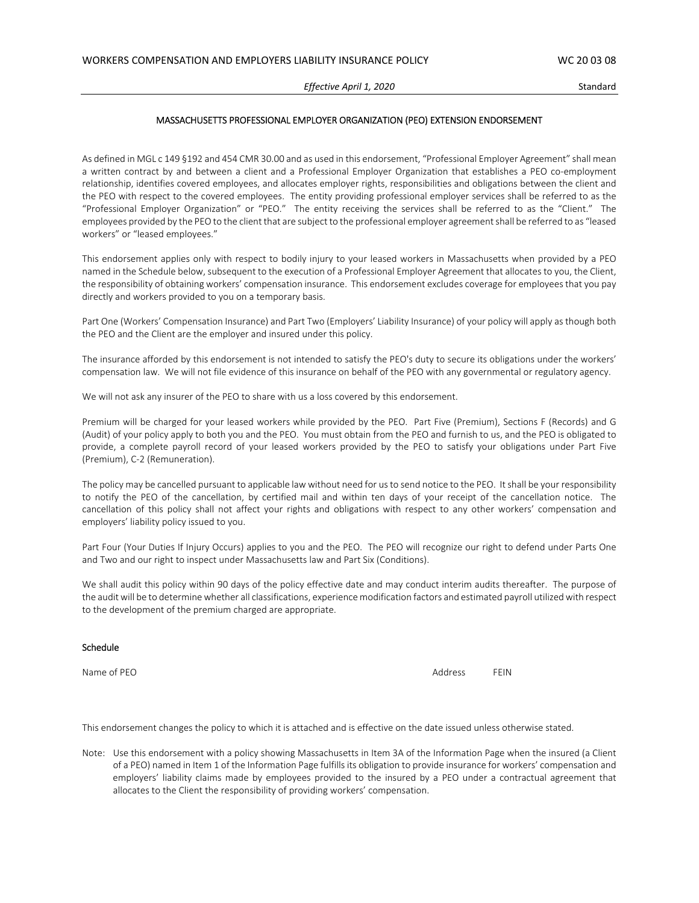#### MASSACHUSETTS PROFESSIONAL EMPLOYER ORGANIZATION (PEO) EXTENSION ENDORSEMENT

As defined in MGL c 149 §192 and 454 CMR 30.00 and as used in this endorsement, "Professional Employer Agreement" shall mean a written contract by and between a client and a Professional Employer Organization that establishes a PEO co-employment relationship, identifies covered employees, and allocates employer rights, responsibilities and obligations between the client and the PEO with respect to the covered employees. The entity providing professional employer services shall be referred to as the "Professional Employer Organization" or "PEO." The entity receiving the services shall be referred to as the "Client." The employees provided by the PEO to the client that are subject to the professional employer agreement shall be referred to as "leased workers" or "leased employees."

This endorsement applies only with respect to bodily injury to your leased workers in Massachusetts when provided by a PEO named in the Schedule below, subsequent to the execution of a Professional Employer Agreement that allocates to you, the Client, the responsibility of obtaining workers' compensation insurance. This endorsement excludes coverage for employees that you pay directly and workers provided to you on a temporary basis.

Part One (Workers' Compensation Insurance) and Part Two (Employers' Liability Insurance) of your policy will apply as though both the PEO and the Client are the employer and insured under this policy.

The insurance afforded by this endorsement is not intended to satisfy the PEO's duty to secure its obligations under the workers' compensation law. We will not file evidence of this insurance on behalf of the PEO with any governmental or regulatory agency.

We will not ask any insurer of the PEO to share with us a loss covered by this endorsement.

Premium will be charged for your leased workers while provided by the PEO. Part Five (Premium), Sections F (Records) and G (Audit) of your policy apply to both you and the PEO. You must obtain from the PEO and furnish to us, and the PEO is obligated to provide, a complete payroll record of your leased workers provided by the PEO to satisfy your obligations under Part Five (Premium), C‐2 (Remuneration).

The policy may be cancelled pursuant to applicable law without need for us to send notice to the PEO. It shall be your responsibility to notify the PEO of the cancellation, by certified mail and within ten days of your receipt of the cancellation notice. The cancellation of this policy shall not affect your rights and obligations with respect to any other workers' compensation and employers' liability policy issued to you.

Part Four (Your Duties If Injury Occurs) applies to you and the PEO. The PEO will recognize our right to defend under Parts One and Two and our right to inspect under Massachusetts law and Part Six (Conditions).

We shall audit this policy within 90 days of the policy effective date and may conduct interim audits thereafter. The purpose of the audit will be to determine whether all classifications, experience modification factors and estimated payroll utilized with respect to the development of the premium charged are appropriate.

#### Schedule

Name of PEO **Address FEIN** 

This endorsement changes the policy to which it is attached and is effective on the date issued unless otherwise stated.

Note: Use this endorsement with a policy showing Massachusetts in Item 3A of the Information Page when the insured (a Client of a PEO) named in Item 1 of the Information Page fulfills its obligation to provide insurance for workers' compensation and employers' liability claims made by employees provided to the insured by a PEO under a contractual agreement that allocates to the Client the responsibility of providing workers' compensation.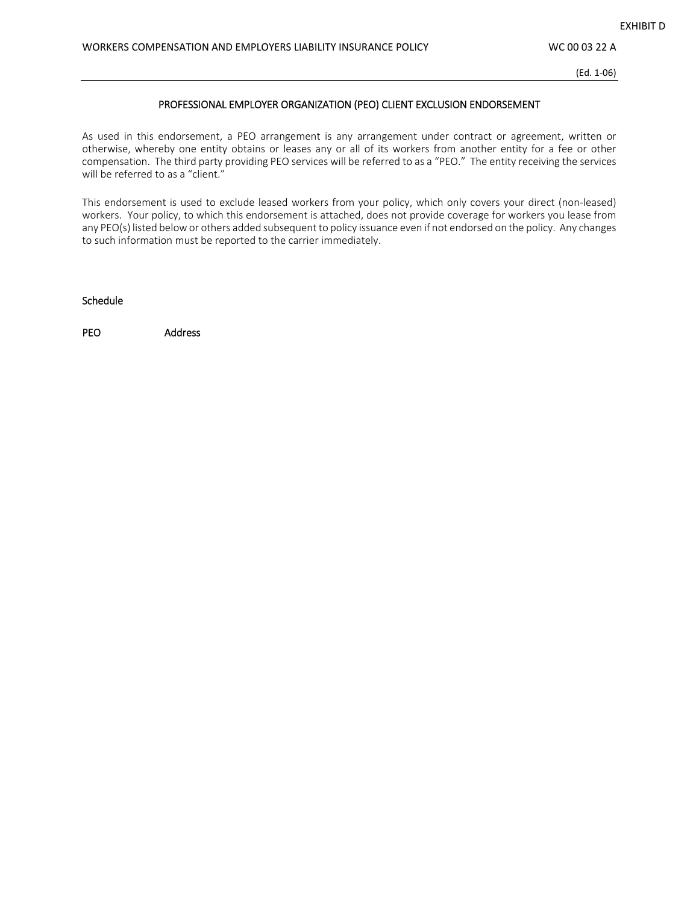(Ed. 1‐06)

## PROFESSIONAL EMPLOYER ORGANIZATION (PEO) CLIENT EXCLUSION ENDORSEMENT

As used in this endorsement, a PEO arrangement is any arrangement under contract or agreement, written or otherwise, whereby one entity obtains or leases any or all of its workers from another entity for a fee or other compensation. The third party providing PEO services will be referred to as a "PEO." The entity receiving the services will be referred to as a "client."

This endorsement is used to exclude leased workers from your policy, which only covers your direct (non‐leased) workers. Your policy, to which this endorsement is attached, does not provide coverage for workers you lease from any PEO(s) listed below or others added subsequent to policy issuance even if not endorsed on the policy. Any changes to such information must be reported to the carrier immediately.

Schedule

PEO Address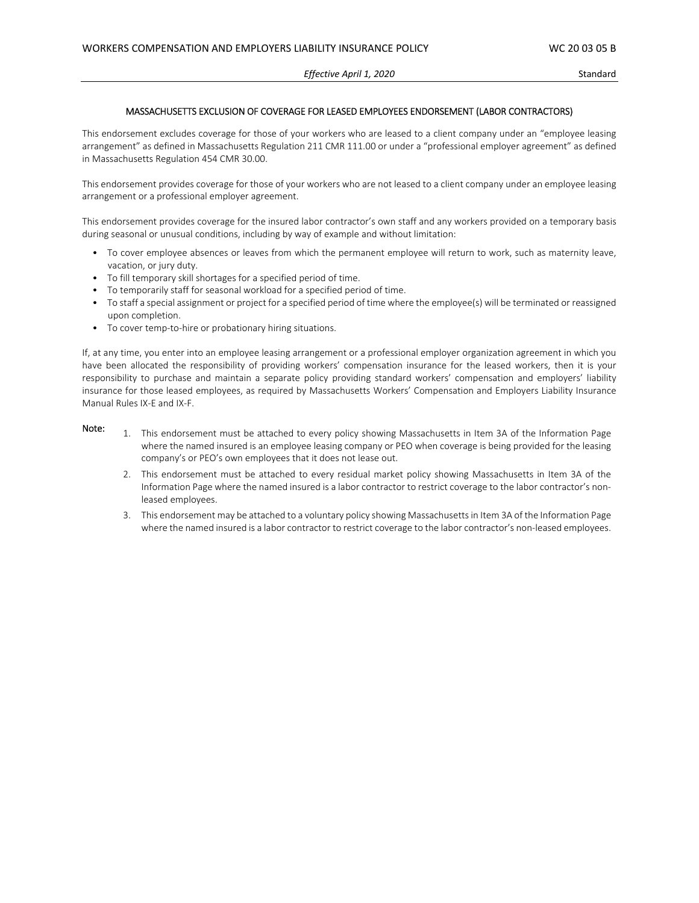#### MASSACHUSETTS EXCLUSION OF COVERAGE FOR LEASED EMPLOYEES ENDORSEMENT (LABOR CONTRACTORS)

This endorsement excludes coverage for those of your workers who are leased to a client company under an "employee leasing arrangement" as defined in Massachusetts Regulation 211 CMR 111.00 or under a "professional employer agreement" as defined in Massachusetts Regulation 454 CMR 30.00.

This endorsement provides coverage for those of your workers who are not leased to a client company under an employee leasing arrangement or a professional employer agreement.

This endorsement provides coverage for the insured labor contractor's own staff and any workers provided on a temporary basis during seasonal or unusual conditions, including by way of example and without limitation:

- To cover employee absences or leaves from which the permanent employee will return to work, such as maternity leave, vacation, or jury duty.
- To fill temporary skill shortages for a specified period of time.
- To temporarily staff for seasonal workload for a specified period of time.
- To staff a special assignment or project for a specified period of time where the employee(s) will be terminated or reassigned upon completion.
- To cover temp-to-hire or probationary hiring situations.

If, at any time, you enter into an employee leasing arrangement or a professional employer organization agreement in which you have been allocated the responsibility of providing workers' compensation insurance for the leased workers, then it is your responsibility to purchase and maintain a separate policy providing standard workers' compensation and employers' liability insurance for those leased employees, as required by Massachusetts Workers' Compensation and Employers Liability Insurance Manual Rules IX‐E and IX‐F.

- Note: 1. This endorsement must be attached to every policy showing Massachusetts in Item 3A of the Information Page where the named insured is an employee leasing company or PEO when coverage is being provided for the leasing company's or PEO's own employees that it does not lease out.
	- 2. This endorsement must be attached to every residual market policy showing Massachusetts in Item 3A of the Information Page where the named insured is a labor contractor to restrict coverage to the labor contractor's nonleased employees.
	- 3. This endorsement may be attached to a voluntary policy showing Massachusettsin Item 3A of the Information Page where the named insured is a labor contractor to restrict coverage to the labor contractor's non-leased employees.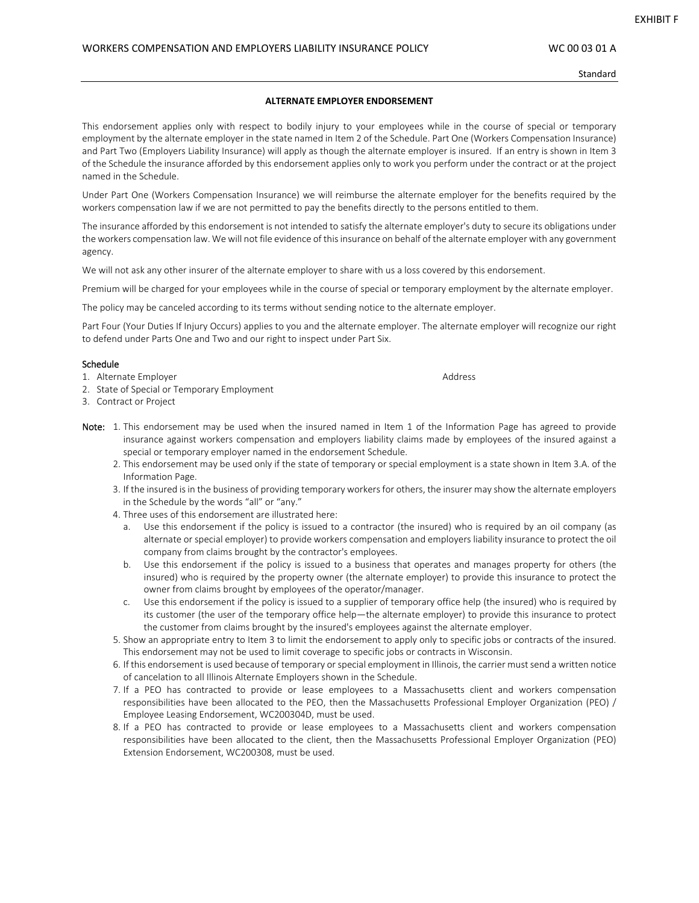Standard

#### **ALTERNATE EMPLOYER ENDORSEMENT**

This endorsement applies only with respect to bodily injury to your employees while in the course of special or temporary employment by the alternate employer in the state named in Item 2 of the Schedule. Part One (Workers Compensation Insurance) and Part Two (Employers Liability Insurance) will apply as though the alternate employer is insured. If an entry is shown in Item 3 of the Schedule the insurance afforded by this endorsement applies only to work you perform under the contract or at the project named in the Schedule.

Under Part One (Workers Compensation Insurance) we will reimburse the alternate employer for the benefits required by the workers compensation law if we are not permitted to pay the benefits directly to the persons entitled to them.

The insurance afforded by this endorsement is not intended to satisfy the alternate employer's duty to secure its obligations under the workers compensation law. We will not file evidence of this insurance on behalf of the alternate employer with any government agency.

We will not ask any other insurer of the alternate employer to share with us a loss covered by this endorsement.

Premium will be charged for your employees while in the course of special or temporary employment by the alternate employer.

The policy may be canceled according to its terms without sending notice to the alternate employer.

Part Four (Your Duties If Injury Occurs) applies to you and the alternate employer. The alternate employer will recognize our right to defend under Parts One and Two and our right to inspect under Part Six.

#### Schedule

- 1. Alternate Employer **Address** Address and Address Address Address Address Address Address Address Address Address Address Address Address Address Address Address Address Address Address Address Address Address Address Ad
- 2. State of Special or Temporary Employment
- 3. Contract or Project
- Note: 1. This endorsement may be used when the insured named in Item 1 of the Information Page has agreed to provide insurance against workers compensation and employers liability claims made by employees of the insured against a special or temporary employer named in the endorsement Schedule.
	- 2. This endorsement may be used only if the state of temporary or special employment is a state shown in Item 3.A. of the Information Page.
	- 3. If the insured is in the business of providing temporary workers for others, the insurer may show the alternate employers in the Schedule by the words "all" or "any."
	- 4. Three uses of this endorsement are illustrated here:
		- a. Use this endorsement if the policy is issued to a contractor (the insured) who is required by an oil company (as alternate or special employer) to provide workers compensation and employers liability insurance to protect the oil company from claims brought by the contractor's employees.
		- b. Use this endorsement if the policy is issued to a business that operates and manages property for others (the insured) who is required by the property owner (the alternate employer) to provide this insurance to protect the owner from claims brought by employees of the operator/manager.
		- c. Use this endorsement if the policy is issued to a supplier of temporary office help (the insured) who is required by its customer (the user of the temporary office help—the alternate employer) to provide this insurance to protect the customer from claims brought by the insured's employees against the alternate employer.
	- 5. Show an appropriate entry to Item 3 to limit the endorsement to apply only to specific jobs or contracts of the insured. This endorsement may not be used to limit coverage to specific jobs or contracts in Wisconsin.
	- 6. If this endorsement is used because of temporary or special employment in Illinois, the carrier must send a written notice of cancelation to all Illinois Alternate Employers shown in the Schedule.
	- 7. If a PEO has contracted to provide or lease employees to a Massachusetts client and workers compensation responsibilities have been allocated to the PEO, then the Massachusetts Professional Employer Organization (PEO) / Employee Leasing Endorsement, WC200304D, must be used.
	- 8. If a PEO has contracted to provide or lease employees to a Massachusetts client and workers compensation responsibilities have been allocated to the client, then the Massachusetts Professional Employer Organization (PEO) Extension Endorsement, WC200308, must be used.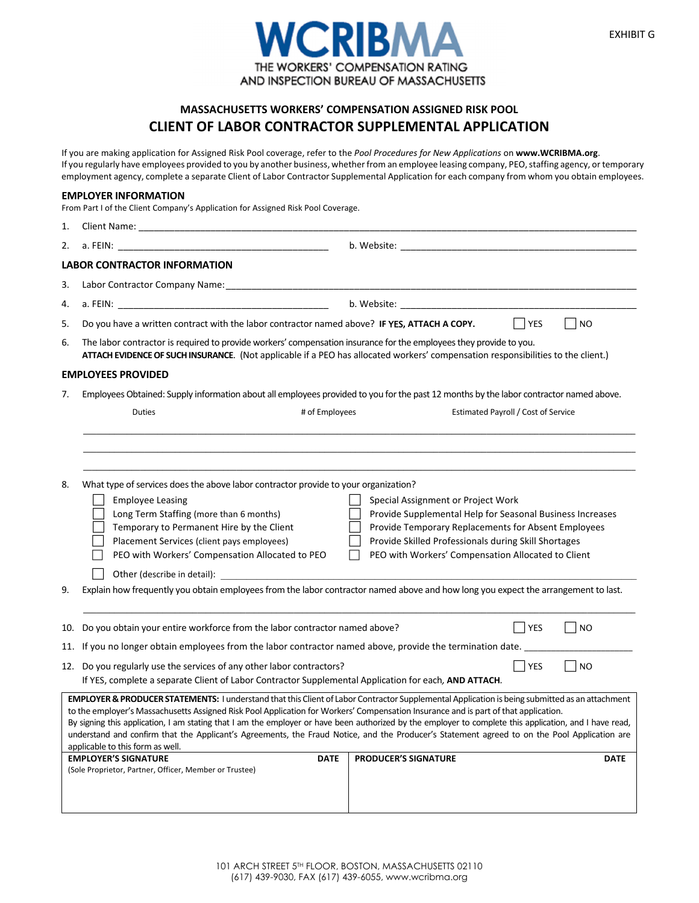

# **MASSACHUSETTS WORKERS' COMPENSATION ASSIGNED RISK POOL CLIENT OF LABOR CONTRACTOR SUPPLEMENTAL APPLICATION**

If you are making application for Assigned Risk Pool coverage, refer to the *Pool Procedures for New Applications* on **www.WCRIBMA.org**. If you regularly have employees provided to you by another business, whether from an employee leasing company, PEO, staffing agency, or temporary employment agency, complete a separate Client of Labor Contractor Supplemental Application for each company from whom you obtain employees.

#### **EMPLOYER INFORMATION**

From Part I of the Client Company's Application for Assigned Risk Pool Coverage.

| 1.       | Client Name:                                                                                                                                                                                                                                                                                                                                                                                                                                                                                                                                                                                                                                                                                                                                                                                          |
|----------|-------------------------------------------------------------------------------------------------------------------------------------------------------------------------------------------------------------------------------------------------------------------------------------------------------------------------------------------------------------------------------------------------------------------------------------------------------------------------------------------------------------------------------------------------------------------------------------------------------------------------------------------------------------------------------------------------------------------------------------------------------------------------------------------------------|
| 2.       | a. FEIN:                                                                                                                                                                                                                                                                                                                                                                                                                                                                                                                                                                                                                                                                                                                                                                                              |
|          | <b>LABOR CONTRACTOR INFORMATION</b>                                                                                                                                                                                                                                                                                                                                                                                                                                                                                                                                                                                                                                                                                                                                                                   |
| 3.       |                                                                                                                                                                                                                                                                                                                                                                                                                                                                                                                                                                                                                                                                                                                                                                                                       |
| 4.       | b. Website: the contract of the contract of the contract of the contract of the contract of the contract of the contract of the contract of the contract of the contract of the contract of the contract of the contract of th<br>a. FEIN: All and the state of the state of the state of the state of the state of the state of the state of the                                                                                                                                                                                                                                                                                                                                                                                                                                                     |
| 5.       | Do you have a written contract with the labor contractor named above? IF YES, ATTACH A COPY.<br><b>YES</b><br>N <sub>O</sub>                                                                                                                                                                                                                                                                                                                                                                                                                                                                                                                                                                                                                                                                          |
| 6.       | The labor contractor is required to provide workers' compensation insurance for the employees they provide to you.<br>ATTACH EVIDENCE OF SUCH INSURANCE. (Not applicable if a PEO has allocated workers' compensation responsibilities to the client.)                                                                                                                                                                                                                                                                                                                                                                                                                                                                                                                                                |
|          | <b>EMPLOYEES PROVIDED</b>                                                                                                                                                                                                                                                                                                                                                                                                                                                                                                                                                                                                                                                                                                                                                                             |
| 7.       | Employees Obtained: Supply information about all employees provided to you for the past 12 months by the labor contractor named above.                                                                                                                                                                                                                                                                                                                                                                                                                                                                                                                                                                                                                                                                |
|          | # of Employees<br>Estimated Payroll / Cost of Service<br>Duties                                                                                                                                                                                                                                                                                                                                                                                                                                                                                                                                                                                                                                                                                                                                       |
|          |                                                                                                                                                                                                                                                                                                                                                                                                                                                                                                                                                                                                                                                                                                                                                                                                       |
| 8.<br>9. | What type of services does the above labor contractor provide to your organization?<br><b>Employee Leasing</b><br>Special Assignment or Project Work<br>Long Term Staffing (more than 6 months)<br>Provide Supplemental Help for Seasonal Business Increases<br>Temporary to Permanent Hire by the Client<br>Provide Temporary Replacements for Absent Employees<br>Provide Skilled Professionals during Skill Shortages<br>Placement Services (client pays employees)<br>PEO with Workers' Compensation Allocated to PEO<br>PEO with Workers' Compensation Allocated to Client<br>Explain how frequently you obtain employees from the labor contractor named above and how long you expect the arrangement to last.                                                                                 |
|          |                                                                                                                                                                                                                                                                                                                                                                                                                                                                                                                                                                                                                                                                                                                                                                                                       |
| 10.      | Do you obtain your entire workforce from the labor contractor named above?<br><b>YES</b><br>N <sub>O</sub>                                                                                                                                                                                                                                                                                                                                                                                                                                                                                                                                                                                                                                                                                            |
|          | 11. If you no longer obtain employees from the labor contractor named above, provide the termination date. ____                                                                                                                                                                                                                                                                                                                                                                                                                                                                                                                                                                                                                                                                                       |
|          | 12. Do you regularly use the services of any other labor contractors?<br><b>YES</b><br>N <sub>O</sub><br>If YES, complete a separate Client of Labor Contractor Supplemental Application for each, AND ATTACH.                                                                                                                                                                                                                                                                                                                                                                                                                                                                                                                                                                                        |
|          | <b>EMPLOYER &amp; PRODUCER STATEMENTS:</b> I understand that this Client of Labor Contractor Supplemental Application is being submitted as an attachment<br>to the employer's Massachusetts Assigned Risk Pool Application for Workers' Compensation Insurance and is part of that application.<br>By signing this application, I am stating that I am the employer or have been authorized by the employer to complete this application, and I have read,<br>understand and confirm that the Applicant's Agreements, the Fraud Notice, and the Producer's Statement agreed to on the Pool Application are<br>applicable to this form as well.<br><b>EMPLOYER'S SIGNATURE</b><br><b>PRODUCER'S SIGNATURE</b><br><b>DATE</b><br><b>DATE</b><br>(Sole Proprietor, Partner, Officer, Member or Trustee) |